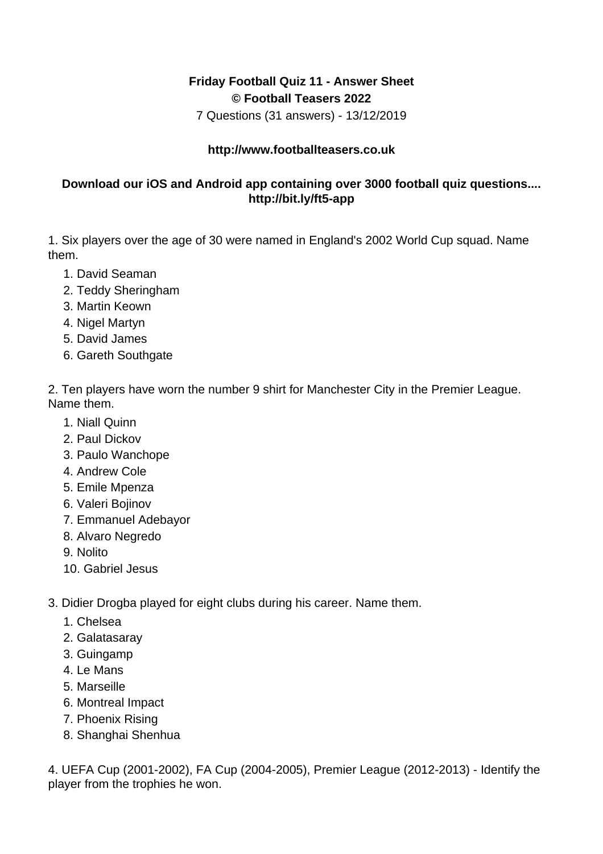## **Friday Football Quiz 11 - Answer Sheet © Football Teasers 2022**

7 Questions (31 answers) - 13/12/2019

## **http://www.footballteasers.co.uk**

## **Download our iOS and Android app containing over 3000 football quiz questions.... http://bit.ly/ft5-app**

1. Six players over the age of 30 were named in England's 2002 World Cup squad. Name them.

- 1. David Seaman
- 2. Teddy Sheringham
- 3. Martin Keown
- 4. Nigel Martyn
- 5. David James
- 6. Gareth Southgate

2. Ten players have worn the number 9 shirt for Manchester City in the Premier League. Name them.

- 1. Niall Quinn
- 2. Paul Dickov
- 3. Paulo Wanchope
- 4. Andrew Cole
- 5. Emile Mpenza
- 6. Valeri Bojinov
- 7. Emmanuel Adebayor
- 8. Alvaro Negredo
- 9. Nolito
- 10. Gabriel Jesus
- 3. Didier Drogba played for eight clubs during his career. Name them.
	- 1. Chelsea
	- 2. Galatasaray
	- 3. Guingamp
	- 4. Le Mans
	- 5. Marseille
	- 6. Montreal Impact
	- 7. Phoenix Rising
	- 8. Shanghai Shenhua

4. UEFA Cup (2001-2002), FA Cup (2004-2005), Premier League (2012-2013) - Identify the player from the trophies he won.